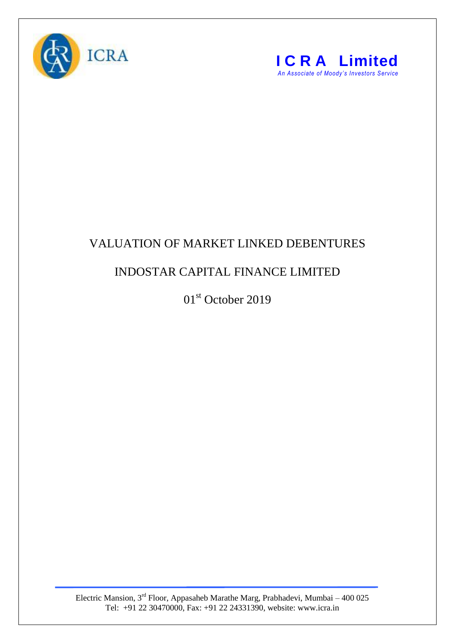



## VALUATION OF MARKET LINKED DEBENTURES

## INDOSTAR CAPITAL FINANCE LIMITED

01st October 2019

Electric Mansion,  $3<sup>rd</sup>$  Floor, Appasaheb Marathe Marg, Prabhadevi, Mumbai – 400 025 Tel: +91 22 30470000, Fax: +91 22 24331390, website: www.icra.in